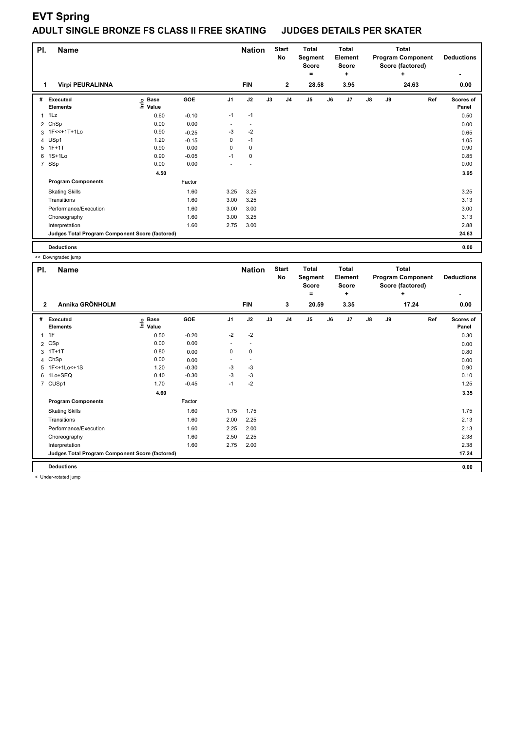## **EVT Spring**

## **ADULT SINGLE BRONZE FS CLASS II FREE SKATING JUDGES DETAILS PER SKATER**

| PI.            | <b>Name</b>                                     |                              |         |                | <b>Nation</b>            |    | <b>Start</b><br>No | <b>Total</b><br>Segment<br>Score |    | <b>Total</b><br>Element<br><b>Score</b> |    |    | <b>Total</b><br><b>Program Component</b><br>Score (factored) | <b>Deductions</b>  |
|----------------|-------------------------------------------------|------------------------------|---------|----------------|--------------------------|----|--------------------|----------------------------------|----|-----------------------------------------|----|----|--------------------------------------------------------------|--------------------|
| 1              | <b>Virpi PEURALINNA</b>                         |                              |         |                | <b>FIN</b>               |    | $\mathbf{2}$       | ٠<br>28.58                       |    | ÷<br>3.95                               |    |    | ÷<br>24.63                                                   | 0.00               |
|                |                                                 |                              |         |                |                          |    |                    |                                  |    |                                         |    |    |                                                              |                    |
| #              | Executed<br><b>Elements</b>                     | <b>Base</b><br>lnfo<br>Value | GOE     | J <sub>1</sub> | J2                       | J3 | J <sub>4</sub>     | J5                               | J6 | J7                                      | J8 | J9 | Ref                                                          | Scores of<br>Panel |
| $\mathbf{1}$   | 1Lz                                             | 0.60                         | $-0.10$ | $-1$           | $-1$                     |    |                    |                                  |    |                                         |    |    |                                                              | 0.50               |
| $\overline{2}$ | ChSp                                            | 0.00                         | 0.00    | ٠              | $\overline{\phantom{a}}$ |    |                    |                                  |    |                                         |    |    |                                                              | 0.00               |
|                | 3 1F<<+1T+1Lo                                   | 0.90                         | $-0.25$ | $-3$           | $-2$                     |    |                    |                                  |    |                                         |    |    |                                                              | 0.65               |
| 4              | USp1                                            | 1.20                         | $-0.15$ | 0              | $-1$                     |    |                    |                                  |    |                                         |    |    |                                                              | 1.05               |
|                | 5 1F+1T                                         | 0.90                         | 0.00    | 0              | 0                        |    |                    |                                  |    |                                         |    |    |                                                              | 0.90               |
| 6              | $1S+1Lo$                                        | 0.90                         | $-0.05$ | $-1$           | $\mathbf 0$              |    |                    |                                  |    |                                         |    |    |                                                              | 0.85               |
| $\overline{7}$ | SSp                                             | 0.00                         | 0.00    |                |                          |    |                    |                                  |    |                                         |    |    |                                                              | 0.00               |
|                |                                                 | 4.50                         |         |                |                          |    |                    |                                  |    |                                         |    |    |                                                              | 3.95               |
|                | <b>Program Components</b>                       |                              | Factor  |                |                          |    |                    |                                  |    |                                         |    |    |                                                              |                    |
|                | <b>Skating Skills</b>                           |                              | 1.60    | 3.25           | 3.25                     |    |                    |                                  |    |                                         |    |    |                                                              | 3.25               |
|                | Transitions                                     |                              | 1.60    | 3.00           | 3.25                     |    |                    |                                  |    |                                         |    |    |                                                              | 3.13               |
|                | Performance/Execution                           |                              | 1.60    | 3.00           | 3.00                     |    |                    |                                  |    |                                         |    |    |                                                              | 3.00               |
|                | Choreography                                    |                              | 1.60    | 3.00           | 3.25                     |    |                    |                                  |    |                                         |    |    |                                                              | 3.13               |
|                | Interpretation                                  |                              | 1.60    | 2.75           | 3.00                     |    |                    |                                  |    |                                         |    |    |                                                              | 2.88               |
|                | Judges Total Program Component Score (factored) |                              |         |                |                          |    |                    |                                  |    |                                         |    |    |                                                              | 24.63              |
|                | <b>Deductions</b>                               |                              |         |                |                          |    |                    |                                  |    |                                         |    |    |                                                              | 0.00               |

|              | << Downgraded jump                              |                                  |            |                          |                          |    |                    |                                              |    |                                                     |                                                                   |    |     |                    |
|--------------|-------------------------------------------------|----------------------------------|------------|--------------------------|--------------------------|----|--------------------|----------------------------------------------|----|-----------------------------------------------------|-------------------------------------------------------------------|----|-----|--------------------|
|              | <b>Name</b><br>PI.                              |                                  |            |                          | <b>Nation</b>            |    | <b>Start</b><br>No | <b>Total</b><br>Segment<br><b>Score</b><br>Ξ |    | <b>Total</b><br><b>Element</b><br><b>Score</b><br>÷ | <b>Total</b><br><b>Program Component</b><br>Score (factored)<br>٠ |    |     | <b>Deductions</b>  |
| $\mathbf{2}$ | Annika GRÖNHOLM                                 |                                  |            |                          | <b>FIN</b>               |    | 3                  | 20.59                                        |    | 3.35                                                | 17.24                                                             |    |     | 0.00               |
| #            | <b>Executed</b><br><b>Elements</b>              | <b>Base</b><br>은 Base<br>트 Value | <b>GOE</b> | J <sub>1</sub>           | J2                       | J3 | J <sub>4</sub>     | J5                                           | J6 | J7                                                  | $\mathsf{J}8$                                                     | J9 | Ref | Scores of<br>Panel |
| $\mathbf{1}$ | 1F                                              | 0.50                             | $-0.20$    | $-2$                     | $-2$                     |    |                    |                                              |    |                                                     |                                                                   |    |     | 0.30               |
|              | 2 CSp                                           | 0.00                             | 0.00       | $\overline{\phantom{a}}$ | $\overline{\phantom{a}}$ |    |                    |                                              |    |                                                     |                                                                   |    |     | 0.00               |
| 3            | $1T+1T$                                         | 0.80                             | 0.00       | 0                        | $\mathbf 0$              |    |                    |                                              |    |                                                     |                                                                   |    |     | 0.80               |
| 4            | ChSp                                            | 0.00                             | 0.00       | $\overline{\phantom{a}}$ | $\overline{\phantom{a}}$ |    |                    |                                              |    |                                                     |                                                                   |    |     | 0.00               |
|              | 5 1F<+1Lo<+1S                                   | 1.20                             | $-0.30$    | $-3$                     | $-3$                     |    |                    |                                              |    |                                                     |                                                                   |    |     | 0.90               |
| 6            | 1Lo+SEQ                                         | 0.40                             | $-0.30$    | $-3$                     | $-3$                     |    |                    |                                              |    |                                                     |                                                                   |    |     | 0.10               |
|              | 7 CUSp1                                         | 1.70                             | $-0.45$    | $-1$                     | $-2$                     |    |                    |                                              |    |                                                     |                                                                   |    |     | 1.25               |
|              |                                                 | 4.60                             |            |                          |                          |    |                    |                                              |    |                                                     |                                                                   |    |     | 3.35               |
|              | <b>Program Components</b>                       |                                  | Factor     |                          |                          |    |                    |                                              |    |                                                     |                                                                   |    |     |                    |
|              | <b>Skating Skills</b>                           |                                  | 1.60       | 1.75                     | 1.75                     |    |                    |                                              |    |                                                     |                                                                   |    |     | 1.75               |
|              | Transitions                                     |                                  | 1.60       | 2.00                     | 2.25                     |    |                    |                                              |    |                                                     |                                                                   |    |     | 2.13               |
|              | Performance/Execution                           |                                  | 1.60       | 2.25                     | 2.00                     |    |                    |                                              |    |                                                     |                                                                   |    |     | 2.13               |
|              | Choreography                                    |                                  | 1.60       | 2.50                     | 2.25                     |    |                    |                                              |    |                                                     |                                                                   |    |     | 2.38               |
|              | Interpretation                                  |                                  | 1.60       | 2.75                     | 2.00                     |    |                    |                                              |    |                                                     |                                                                   |    |     | 2.38               |
|              | Judges Total Program Component Score (factored) |                                  |            |                          |                          |    |                    |                                              |    |                                                     |                                                                   |    |     | 17.24              |
|              | <b>Deductions</b>                               |                                  |            |                          |                          |    |                    |                                              |    |                                                     |                                                                   |    |     | 0.00               |

< Under-rotated jump